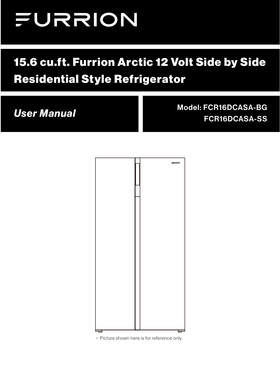# FURRION

# 15.6 cu.ft. Furrion Arctic 12 Volt Side by Side Residential Style Refrigerator

*User Manual* Model: FCR16DCASA-BG FCR16DCASA-SS



\* Picture shown here is for reference only.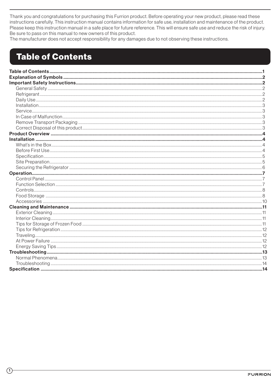Thank you and congratulations for purchasing this Furrion product. Before operating your new product, please read these instructions carefully. This instruction manual contains information for safe use, installation and maintenance of the product. Please keep this instruction manual in a safe place for future reference. This will ensure safe use and reduce the risk of injury. Be sure to pass on this manual to new owners of this product.

The manufacturer does not accept responsibility for any damages due to not observing these instructions.

# **Table of Contents**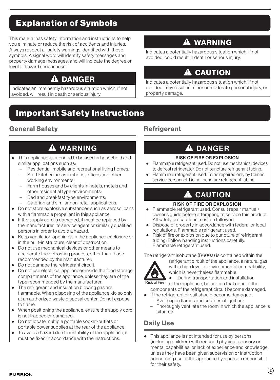# <span id="page-2-0"></span>Explanation of Symbols

This manual has safety information and instructions to help you eliminate or reduce the risk of accidents and injuries. Always respect all safety warnings identified with these symbols. A signal word will identify safety messages and property damage messages, and will indicate the degree or level of hazard seriousness.

# **A DANGER**

Indicates an imminently hazardous situation which, if not avoided, will result in death or serious injury.

# Important Safety Instructions

# General Safety

# **A** WARNING

- This appliance is intended to be used in household and similar applications such as:
	- − Residential, mobile and recreational living homes.
	- Staff kitchen areas in shops, offices and other working environments;
	- − Farm houses and by clients in hotels, motels and other residential type environments;
	- Bed and breakfast type environments;
	- − Catering and similar non-retail applications.
- Do not store explosive substances such as aerosol cans with a flammable propellant in this appliance.
- If the supply cord is damaged, it must be replaced by the manufacturer, its service agent or similarly qualified persons in order to avoid a hazard.
- Keep ventilation openings, in the appliance enclosure or in the built-in structure, clear of obstruction.
- Do not use mechanical devices or other means to accelerate the defrosting process, other than those recommended by the manufacturer.
- Do not damage the refrigerant circuit.
- Do not use electrical appliances inside the food storage compartments of the appliance, unless they are of the type recommended by the manufacturer.
- The refrigerant and insulation blowing gas are flammable. When disposing of the appliance, do so only at an authorized waste disposal center. Do not expose to flame.
- When positioning the appliance, ensure the supply cord is not trapped or damaged.
- Do not locate multiple portable socket-outlets or portable power supplies at the rear of the appliance.
- To avoid a hazard due to instability of the appliance, it must be fixed in accordance with the instructions.

# **A WARNING**

Indicates a potentially hazardous situation which, if not avoided, could result in death or serious injury.

# **A CAUTION**

Indicates a potentially hazardous situation which, if not avoided, may result in minor or moderate personal injury, or property damage.

## **Refrigerant**

# **A DANGER**

#### RISK OF FIRE OR EXPLOSION

- Flammable refrigerant used. Do not use mechanical devices to defrost refrigerator. Do not puncture refrigerant tubing.
- Flammable refrigerant used. To be repaired only by trained service personnel. Do not puncture refrigerant tubing.

# **A** CAUTION

#### RISK OF FIRE OR EXPLOSION

- Flammable refrigerant used. Consult repair manual/ owner's guide before attempting to service this product. All safety precautions must be followed.
- Dispose of property in accordance with federal or local regulations. Flammable refrigerant used.
- Risk of fire or explosion due to puncture of refrigerant tubing; Follow handling instructions carefully. Flammable refrigerant used.

The refrigerant isobutane (R600a) is contained within the



refrigerant circuit of the appliance, a natural gas with a high level of environmental compatibility, which is nevertheless flammable.

During transportation and installation Risk of Fire of the appliance, be certain that none of the components of the refrigerant circuit become damaged.

- If the refrigerant circuit should become damaged:
	- − Avoid open flames and sources of ignition;
	- − Thoroughly ventilate the room in which the appliance is situated.

# Daily Use

● This appliance is not intended for use by persons (including children) with reduced physical, sensory or mental capabilities, or lack of experience and knowledge, unless they have been given supervision or instruction concerning use of the appliance by a person responsible for their safety.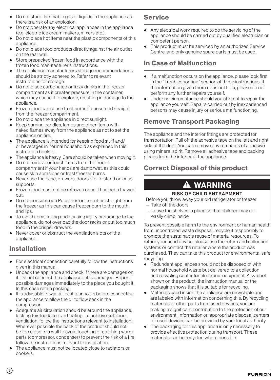- <span id="page-3-0"></span>● Do not store flammable gas or liquids in the appliance as there is a risk of an explosion.
- Bo not operate any electrical appliances in the appliance (e.g. electric ice cream makers, mixers etc.).
- Do not place hot items near the plastic components of this appliance.
- Do not place food products directly against the air outlet on the rear wall.
- Store prepacked frozen food in accordance with the frozen food manufacturer's instructions.
- The appliance manufacturers storage recommendations should be strictly adhered to. Refer to relevant instructions for storage.
- Do not place carbonated or fizzy drinks in the freezer compartment as it creates pressure in the container, which may cause it to explode, resulting in damage to the appliance.
- Frozen food can cause frost burns if consumed straight from the freezer compartment.
- Do not place the appliance in direct sunlight.
- Keep burning candles, lamps and other items with naked flames away from the appliance as not to set the appliance on fire.
- The appliance is intended for keeping food stuff and/ or beverages in normal household as explained in this instruction booklet.
- The appliance is heavy. Care should be taken when moving it.
- Do not remove or touch items from the freezer compartment if your hands are damp/wet, as this could cause skin abrasions or frost/freezer burns.
- Never use the base, drawers, doors etc. to stand on or as supports.
- Frozen food must not be refrozen once it has been thawed out.
- Do not consume ice Popsicles or ice cubes straight from the freezer as this can cause freezer burn to the mouth and lips.
- To avoid items falling and causing injury or damage to the appliance, do not overload the door racks or put too much food in the crisper drawers.
- Never cover or obstruct the ventilation slots on the appliance.

# Installation

- For electrical connection carefully follow the instructions given in this manual.
- Unpack the appliance and check if there are damages on it. Do not connect the appliance if it is damaged. Report possible damages immediately to the place you bought it. In this case retain packing.
- It is advisable to wait at least four hours before connecting the appliance to allow the oil to flow back in the compressor.
- Adequate air circulation should be around the appliance, lacking this leads to overheating. To achieve sufficient ventilation, follow the instructions relevant to installation. Wherever possible the back of the product should not be too close to a wall to avoid touching or catching warm parts (compressor, condenser) to prevent the risk of a fire, follow the instructions relevant to installation.
- The appliance must not be located close to radiators or cookers.

#### Service

- Any electrical work required to do the servicing of the appliance should be carried out by qualified electrician or competent person.
- This product must be serviced by an authorized Service Centre, and only genuine spare parts must be used.

### In Case of Malfunction

- If a malfunction occurs on the appliance, please look first in the "Troubleshooting" section of these instructions. If the information given there does not help, please do not perform any further repairs yourself.
- Under no circumstance should you attempt to repair the appliance yourself. Repairs carried out by inexperienced persons may cause injury or serious malfunctioning.

## Remove Transport Packaging

The appliance and the interior fittings are protected for transportation. Pull off the adhesive tape on the left and right side of the door. You can remove any remnants of adhesive using mineral spirit. Remove all adhesive tape and packing pieces from the interior of the appliance.

# Correct Disposal of this product

# WARNING

#### RISK OF CHILD ENTRAPMENT

Before you throw away your old refrigerator or freezer:

- − Take off the doors
- − Leave the shelves in place so that children may not easily climb inside.

To prevent possible harm to the environment or human health from uncontrolled waste disposal, recycle it responsibly to promote the sustainable reuse of material resources. To return your used device, please use the return and collection systems or contact the retailer where the product was purchased. They can take this product for environmental safe recycling.

- Redundant appliances should not be disposed of with normal household waste but delivered to a collection and recycling center for electronic equipment. A symbol shown on the product, the instruction manual or the packaging shows that it is suitable for recycling.
- Materials used inside the appliance are recyclable and are labeled with information concerning this. By recycling materials or other parts from used devices, you are making a significant contribution to the protection of our environment. Information on appropriate disposal centers for used devices can be provided by your local authority.
- The packaging for this appliance is only necessary to provide effective protection during transport. These materials can be recycled where possible.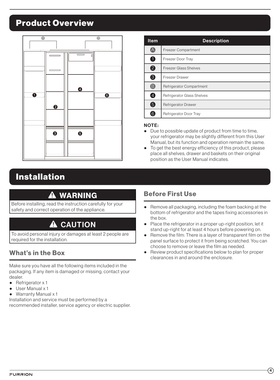# <span id="page-4-0"></span>Product Overview



# Installation

# **A** WARNING

Before installing, read the instruction carefully for your safety and correct operation of the appliance.

# **A** CAUTION

To avoid personal injury or damages at least 2 people are required for the installation.

### What's in the Box

Make sure you have all the following items included in the packaging. If any item is damaged or missing, contact your dealer.

- Refrigerator x 1
- User Manual x 1
- Warranty Manual x 1

Installation and service must be performed by a recommended installer, service agency or electric supplier.

| <b>Item</b> | <b>Description</b>           |
|-------------|------------------------------|
| A           | <b>Freezer Compartment</b>   |
| $\bullet$   | Freezer Door Tray            |
| 2           | <b>Freezer Glass Shelves</b> |
| 6           | Freezer Drawer               |
| 8           | Refrigerator Compartment     |
| 4           | Refrigerator Glass Shelves   |
| 6           | <b>Refrigerator Drawer</b>   |
| [6]         | Refrigerator Door Tray       |

#### NOTE:

- Due to possible update of product from time to time, your refrigerator may be slightly different from this User Manual, but its function and operation remain the same.
- To get the best energy efficiency of this product, please place all shelves, drawer and baskets on their original position as the User Manual indicates.

### Before First Use

- Remove all packaging, including the foam backing at the bottom of refrigerator and the tapes fixing accessories in the box.
- Place the refrigerator in a proper up-right position, let it stand up-right for at least 4 hours before powering on.
- Remove the film: There is a layer of transparent film on the panel surface to protect it from being scratched. You can choose to remove or leave the film as needed.
- Review product specifications below to plan for proper clearances in and around the enclosure.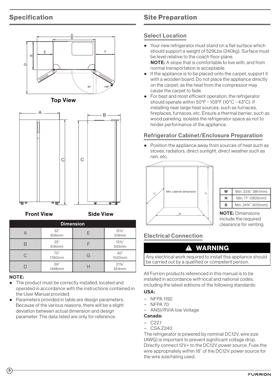#### <span id="page-5-0"></span>Specification Front View Side View







Front View Side View

| <b>Dimension</b> |               |   |                          |
|------------------|---------------|---|--------------------------|
|                  | 32"<br>836mm  | F | $12\frac{1}{2}$<br>319mm |
|                  | 25"<br>636mm  |   | $13\frac{1}{2}$<br>343mm |
|                  | 70"<br>1780mm | G | 40"<br>1020mm            |
|                  | 59"<br>1498mm |   | $21\%$ "<br>554mm        |

#### NOTE:

- The preddermatics correctly installed, located and<br>operated in accordance with the instructions contained in ● The product must be correctly installed, located and the User Manual provided.
- Parameters provided in table are design parameters. Because of the various reasons, there will be a slight deviation between actual dimension and design parameter. The data listed are only for reference.

### Site Preparation

#### Select Location

- Your new refrigerator must stand on a flat surface which should support a weight of 529Lbs (240kg). Surface must be level relative to the coach floor plane. NOTE: A slope that is comfortable to live with, and from normal transportation is acceptable.
- If the appliance is to be placed onto the carpet, support it with a wooden board. Do not place the appliance directly on the carpet, as the heat from the compressor may cause the carpet to fade.
- For best and most efficient operation, the refrigerator should operate within 50°F ~ 109°F (10°C ~ 43°C). If installing near large heat sources, such as furnaces, fireplaces, furnaces, etc. Ensure a thermal barrier, such as wood paneling, isolates the refrigerator space as not to hinder performance of the appliance.

#### Refrigerator Cabinet/Enclosure Preparation

Position the appliance away from sources of heat such as stoves, radiators, direct sunlight, direct weather such as rain, etc.



| w | Min. 33%" (861mm) |
|---|-------------------|
| н | Min. 71" (1805mm) |
| D | Min. 24%" (630mm) |

NOTE: Dimensions include the required clearance for venting.

Electrical Connection

#### **A WARNING**

Any electrical work required to install this appliance should be carried out by a qualified or competent person.

All Furrion products referenced in this manual is to be installed in accordance with local and national codes, including the latest editions of the following standards:

#### USA:

- − NFPA 1192
- − NFPA 70
- − ANSI/RVIA low Voltage

#### Canada:

- − C22.1
- − CSA Z240

The refrigerator is powered by nominal DC12V, wire size (AWG) is important to prevent significant voltage drop. Directly connect 12V+ to the DC12V power source. Fuse the wire appropriately within 18" of the DC12V power source for the wire size/rating used.

 $(5)$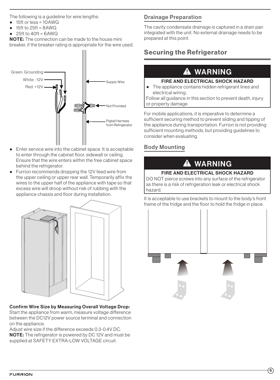<span id="page-6-0"></span>The following is a guideline for wire lengths:

- 15ft or less = 10AWG
- 15ft to  $25$ ft =  $8$ AWG
- $25ft to 40ft = 6AWG$

NOTE: The connection can be made to the house mini breaker, if the breaker rating is appropriate for the wire used.



- Enter service wire into the cabinet space. It is acceptable to enter through the cabinet floor, sidewall or ceiling. Ensure that the wire enters within the free cabinet space behind the refrigerator.
- Furrion recommends dropping the 12V feed wire from the upper ceiling or upper rear wall. Temporarily affix the wires to the upper half of the appliance with tape so that excess wire will droop without risk of rubbing with the appliance chassis and floor during installation.



#### Confirm Wire Size by Measuring Overall Voltage Drop:

Start the appliance from warm, measure voltage difference between the DC12V power source terminal and connection on the appliance.

Adjust wire size if the difference exceeds 0.3-0.4V DC. NOTE: The refrigerator is powered by DC 12V and must be supplied at SAFETY EXTRA-LOW VOLTAGE circuit.

#### Drainage Preparation

The cavity condensate drainage is captured in a drain pan integrated with the unit. No external drainage needs to be prepared at this point.

# Securing the Refrigerator

# **A** WARNING

#### FIRE AND ELECTRICAL SHOCK HAZARD

● The appliance contains hidden refrigerant lines and electrical wiring.

Follow all guidance in this section to prevent death, injury or property damage

For mobile applications, it is imperative to determine a sufficient securing method to prevent sliding and tipping of the appliance during transportation. Furrion is not providing sufficient mounting methods, but providing guidelines to consider when evaluating.

#### Body Mounting

# **A WARNING**

#### FIRE AND ELECTRICAL SHOCK HAZARD

DO NOT pierce screws into any surface of the refrigerator as there is a risk of refrigeration leak or electrical shock hazard.

It is acceptable to use brackets to mount to the body's front frame of the fridge and the floor to hold the fridge in place.

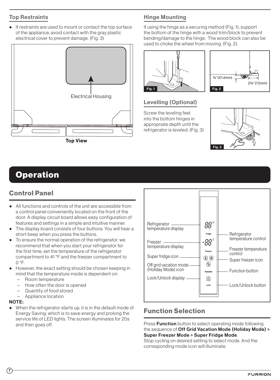#### <span id="page-7-0"></span>Top Restraints

● If restraints are used to mount or contact the top surface of the appliance, avoid contact with the gray plastic electrical cover to prevent damage. (Fig. 3)



#### Hinge Mounting

If using the hinge as a securing method (Fig. 1), support the bottom of the hinge with a wood trim/block to prevent bending/damage to the hinge. The wood block can also be used to choke the wheel from moving. (Fig. 2).





#### Levelling (Optional)

Screw the leveling feet into the bottom hinges in appropriate depth until the refrigerator is leveled. (Fig. 3)



# **Operation**

## Control Panel

- All functions and controls of the unit are accessible from a control panel conveniently located on the front of the door. A display circuit board allows easy configuration of features and settings in a simple and intuitive manner.
- The display board consists of four buttons. You will hear a short beep when you press the buttons.
- To ensure the normal operation of the refrigerator, we recommend that when you start your refrigerator for the first time, set the temperature of the refrigerator compartment to 41 °F and the freezer compartment to  $O<sup>°</sup>F.$
- However, the exact setting should be chosen keeping in mind that the temperature inside is dependent on:
	- − Room temperature
	- How often the door is opened
	- Quantity of food stored
	- − Appliance location

#### NOTE:

● When the refrigerator starts up, it is in the default mode of Energy Saving, which is to save energy and prolong the service life of LED lights. The screen illuminates for 20s and then goes off.



### Function Selection

Press **Function** button to select operating mode following the sequence of Off Grid Vacation Mode (Holiday Mode) > Super Freezer Mode > Super Fridge Mode.

Stop cycling on desired setting to select mode. And the corresponding mode icon will illuminate.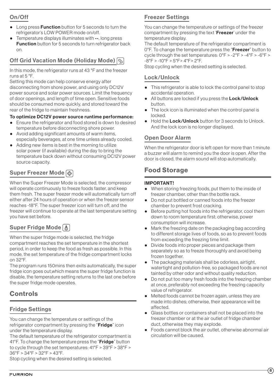#### <span id="page-8-0"></span>On/Off

- Long press **Function** button for 5 seconds to turn the refrigerator's LOW POWER mode on/off.
- Temperature displays illuminates with --, long press **Function** button for 5 seconds to turn refrigerator back on.

### **Off Grid Vacation Mode (Holiday Mode)**  $|\xi|$

In this mode, the refrigerator runs at 43 °F and the freezer runs at 5 °F.

Setting this mode can help conserve energy after disconnecting from shore power, and using only DC12V power source and solar power sources. Limit the frequency of door openings, and length of time open. Sensitive foods should be consumed more quickly, and stored toward the rear of the fridge to maintain freshness.

#### To optimize DC12V power source runtime performance:

- Ensure the refrigerator and food stored is down to desired temperature before disconnecting shore power.
- Avoid adding significant amounts of warm items, especially beverages, at one time unless already cooled.
- Adding new items is best in the morning to utilize solar power (if available) during the day to bring the temperature back down without consuming DC12V power source capacity.

### Super Freezer Mode ⊗

When the Super Freezer Mode is selected, the compressor will operate continuously to freeze foods faster, and keep them fresh. The super freezer mode will automatically turn off either after 24 hours of operation or when the freezer sensor reaches -18°F. The super freezer icon will turn off, and the freezer will continue to operate at the last temperature setting you have set before.

### Super Fridge Mode  $\left|\clubsuit\right|$

When the super fridge mode is selected, the fridge compartment reaches the set temperature in the shortest period, in order to keep the food as fresh as possible. In this mode, the set temperature of the fridge compartment locks on 32°F.

The program runs 150mins then exits automatically, the super fridge icon goes out,which means the super fridge function is disable, the temperature setting returns to the last one before the super fridge mode operates.

### Controls

#### Fridge Settings

You can change the temperature or settings of the refrigerator compartment by pressing the "**Fridge**" icon under the temperature display.

The default temperature of the refrigerator compartment is 41°F. To change the temperature press the "Fridge" button to cycle through the set temperatures: 41°F > 39°F > 38°F > 36°F > 34°F > 32°F > 43°F.

Stop cycling when the desired setting is selected.

#### Freezer Settings

You can change the temperature or settings of the freezer compartment by pressing the text '**Freezer**' under the temperature display.

The default temperature of the refrigerator compartment is 0°F. To change the temperature press the "**Freezer**" button to cycle through the set temperatures: 0°F > -2°F > -4°F > -6°F > -8°F > -10°F > 5°F> 4°F> 2°F.

Stop cycling when the desired setting is selected.

#### Lock/Unlock

- This refrigerator is able to lock the control panel to stop accidental operation.
- All buttons are locked if you press the Lock/Unlock button.
- The lock icon is illuminated when the control panel is locked.
- Hold the Lock/Unlock button for 3 seconds to Unlock. And the lock icon is no longer displayed.

#### Open Door Alarm

When the refrigerator door is left open for more than 1 minute a buzzer will alarm to remind you the door is open. After the door is closed, the alarm sound will stop automatically.

### Food Storage

#### IMPORTANT!

- When storing freezing foods, put them to the inside of freezer chamber, other than the bottle rack.
- Do not put bottled or canned foods into the freezer chamber to prevent frost cracking.
- Before putting hot foods into the refrigerator, cool them down to room temperature first; otherwise, power consumption will increase.
- Mark the freezing date on the packaging bag according to different storage lives of foods, so as to prevent foods from exceeding the freezing time limit.
- Divide foods into proper pieces and package them separately so as to freeze thoroughly and avoid being frozen together.
- The packaging materials shall be odorless, airtight, watertight and pollution-free, so packaged foods are not tainted by other odor and without quality reduction.
- Do not put too many fresh foods into the freezing chamber at once, preferably not exceeding the freezing capacity value of refrigerator.
- Melted foods cannot be frozen again, unless they are made into dishes; otherwise, their appearance will be affected.
- Glass bottles or containers shall not be placed into the freezer chamber or at the air outlet of fridge chamber duct, otherwise they may explode.
- Foods cannot block the air outlet, otherwise abnormal air circulation will be caused.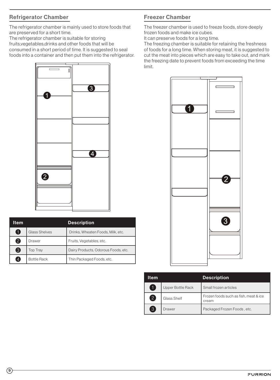#### Refrigerator Chamber

The refrigerator chamber is mainly used to store foods that are preserved for a short time.

The refrigerator chamber is suitable for storing fruits,vegetables,drinks and other foods that will be consumed in a short period of time. It is suggested to seal foods into a container and then put them into the refrigerator.



| Item           |                      | <b>Description</b>                  |
|----------------|----------------------|-------------------------------------|
| O              | <b>Glass Shelves</b> | Drinks, Wheaten Foods, Milk, etc.   |
| $\mathbf{Q}$   | Drawer               | Fruits, Vegetables, etc.            |
| 3              | <b>Top Tray</b>      | Dairy Products, Odorous Foods, etc. |
| $\overline{4}$ | <b>Bottle Rack</b>   | Thin Packaged Foods, etc.           |

#### Freezer Chamber

The freezer chamber is used to freeze foods, store deeply frozen foods and make ice cubes.

It can preserve foods for a long time.

The freezing chamber is suitable for retaining the freshness of foods for a long time. When storing meat, it is suggested to cut the meat into pieces which are easy to take out, and mark the freezing date to prevent foods from exceeding the time limit.



| ltem              |                   | <b>Description</b>                             |
|-------------------|-------------------|------------------------------------------------|
| A                 | Upper Bottle Rack | Small frozen articles                          |
| $\left[ 2\right]$ | Glass Shelf       | Frozen foods such as fish, meat & ice<br>cream |
| $\overline{3}$    | Drawer            | Packaged Frozen Foods, etc.                    |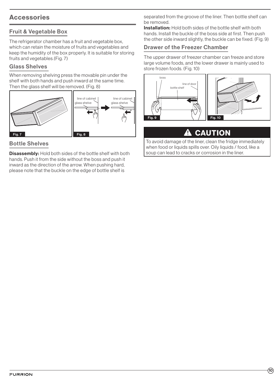### <span id="page-10-0"></span>Accessories

#### Fruit & Vegetable Box

The refrigerator chamber has a fruit and vegetable box, which can retain the moisture of fruits and vegetables and keep the humidity of the box properly. It is suitable for storing fruits and vegetables.(Fig. 7)

#### Glass Shelves

When removing shelving press the movable pin under the shelf with both hands and push inward at the same time. Then the glass shelf will be removed. (Fig. 8)



#### Bottle Shelves

**Disassembly:** Hold both sides of the bottle shelf with both hands. Push it from the side without the boss and push it inward as the direction of the arrow. When pushing hard, please note that the buckle on the edge of bottle shelf is

separated from the groove of the liner. Then bottle shelf can be removed.

Installation: Hold both sides of the bottle shelf with both hands. Install the buckle of the boss side at first. Then push the other side inward slightly, the buckle can be fixed. (Fig. 9)

#### Drawer of the Freezer Chamber

The upper drawer of freezer chamber can freeze and store large volume foods, and the lower drawer is mainly used to store frozen foods. (Fig. 10)



## **A** CAUTION

To avoid damage of the liner, clean the fridge immediately when food or liquids spills over. Oily liquids / food, like a soup can lead to cracks or corrosion in the liner.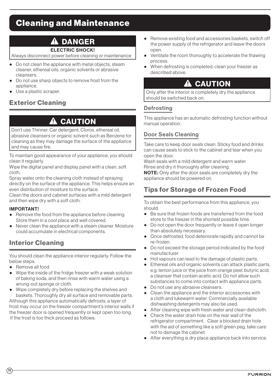# <span id="page-11-0"></span>Cleaning and Maintenance

# **A DANGER**

#### ELECTRIC SHOCK!

Always disconnect power before cleaning or maintenance

- Do not clean the appliance with metal objects, steam cleaner, ethereal oils, organic solvents or abrasive cleansers.
- Do not use sharp objects to remove frost from the appliance.
- Use a plastic scraper.

## Exterior Cleaning

# **A** CAUTION

Don't use Thinner, Car detergent, Clorox, ethereal oil, abrasive cleansers or organic solvent such as Benzene for cleaning as they may damage the surface of the appliance and may cause fire.

To maintain good appearance of your appliance, you should clean it regularly.

Wipe the digital panel and display panel with a clean, soft cloth.

Spray water onto the cleaning cloth instead of spraying directly on the surface of the appliance. This helps ensure an even distribution of moisture to the surface.

Clean the doors and cabinet surfaces with a mild detergent and then wipe dry with a soft cloth.

#### IMPORTANT!

- Remove the food from the appliance before cleaning. Store them in a cool place and well covered.
- Never clean the appliance with a steam cleaner. Moisture could accumulate in electrical components.

### Interior Cleaning

You should clean the appliance interior regularly. Follow the below steps:

- Remove all food.
- Wipe the inside of the fridge freezer with a weak solution of baking soda, and then rinse with warm water using a wrung-out sponge or cloth.
- Wipe completely dry before replacing the shelves and baskets. Thoroughly dry all surface and removable parts.

Although this appliance automatically defrosts, a layer of frost may occur on the freezer compartment's interior walls if the freezer door is opened frequently or kept open too long. If the frost is too thick proceed as follows:

- Remove existing food and accessories baskets, switch off the power supply of the refrigerator and leave the doors open.
- Ventilate the room thoroughly to accelerate the thawing process.
- When defrosting is completed, clean your freezer as described above.

# **A CAUTION**

Only after the interior is completely dry the appliance should be switched back on.

#### **Defrosting**

This appliance has an automatic defrosting function without manual operation.

#### Door Seals Cleaning

Take care to keep door seals clean. Sticky food and drinks can cause seals to stick to the cabinet and tear when you open the door.

Wash seals with a mild detergent and warm water. Rinse and dry it thoroughly after cleaning.

NOTE: Only after the door seals are completely dry the appliance should be powered on.

## Tips for Storage of Frozen Food

To obtain the best performance from this appliance, you should:

- Be sure that frozen foods are transferred from the food store to the freezer in the shortest possible time.
- Do not open the door frequently or leave it open longer than absolutely necessary.
- Once defrosted, food deteriorate rapidly and cannot be re-frozen.
- Do not exceed the storage period indicated by the food manufacturer.
- Hot vapours can lead to the damage of plastic parts.
- Ethereal oils and organic solvents can attack plastic parts, e.g. lemon juice or the juice from orange peel, butyric acid, a cleanser that contain acetic acid. Do not allow such substances to come into contact with appliance parts.
- Do not use any abrasive cleansers.
- Clean the appliance and the interior accessories with a cloth and lukewarm water. Commercially available dishwashing detergents may also be used.
- After cleaning wipe with fresh water and clean dishcloth.
- Check the water drain hole on the rear wall of the refrigerator compartment. Clear a blocked drain hole with the aid of something like a soft green peg, take care not to damage the cabinet.
- After everything is dry place appliance back into service.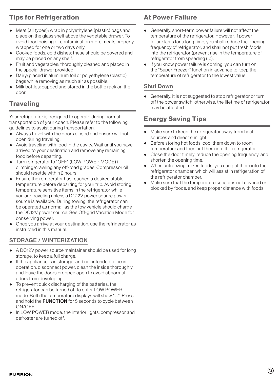# <span id="page-12-0"></span>Tips for Refrigeration

- Meat (all types): wrap in polyethylene (plastic) bags and place on the glass shelf above the vegetable drawer. To avoid food poising or contamination store meats properly wrapped for one or two days only.
- Cooked foods, cold dishes; these should be covered and may be placed on any shelf.
- Fruit and vegetables: thoroughly cleaned and placed in the special drawer provided.
- Dairy: placed in aluminum foil or polyethylene (plastic) bags while removing as much air as possible.
- Milk bottles: capped and stored in the bottle rack on the door.

# **Traveling**

Your refrigerator is designed to operate during normal transportation of your coach. Please refer to the following guidelines to assist during transportation.

- Always travel with the doors closed and ensure will not open during traveling.
- Avoid traveling with food in the cavity. Wait until you have arrived to your destination and remove any remaining food before departing.
- Turn refrigerator to "OFF" (LOW POWER MODE) if climbing/crawling any off-road grades. Compressor oil should resettle within 2 hours.
- Ensure the refrigerator has reached a desired stable temperature before departing for your trip. Avoid storing temperature sensitive items in the refrigerator while you are traveling unless a DC12V power source power source is available. During towing, the refrigerator can be operated as normal, as the tow vehicle should charge the DC12V power source. See Off-grid Vacation Mode for conserving power.
- Once you arrive at your destination, use the refrigerator as instructed in this manual.

#### STORAGE / WINTERIZATION

- A DC12V power source maintainer should be used for long storage, to keep a full charge.
- If the appliance is in storage, and not intended to be in operation, disconnect power, clean the inside thoroughly, and leave the doors propped open to avoid abnormal odors from developing.
- To prevent quick discharging of the batteries, the refrigerator can be turned off to enter LOW POWER mode. Both the temperature displays will show "--". Press and hold the **FUNCTION** for 5 seconds to cycle between ON/OFF.
- In LOW POWER mode, the interior lights, compressor and defroster are turned off.

### At Power Failure

- Generally, short-term power failure will not affect the temperature of the refrigerator. However, if power failure lasts for a long time, you shall reduce the opening frequency of refrigerator, and shall not put fresh foods into the refrigerator (prevent rise in the temperature of refrigerator from speeding up).
- If you know power failure is coming, you can turn on the "Super Freezer" function in advance to keep the temperature of refrigerator to the lowest value.

#### Shut Down

● Generally, it is not suggested to stop refrigerator or turn off the power switch; otherwise, the lifetime of refrigerator may be affected.

### Energy Saving Tips

- Make sure to keep the refrigerator away from heat sources and direct sunlight.
- Before storing hot foods, cool them down to room temperature and then put them into the refrigerator.
- Close the door timely, reduce the opening frequency, and shorten the opening time.
- When unfreezing frozen foods, you can put them into the refrigerator chamber, which will assist in refrigeration of the refrigerator chamber.
- Make sure that the temperature sensor is not covered or blocked by foods, and keep proper distance with foods.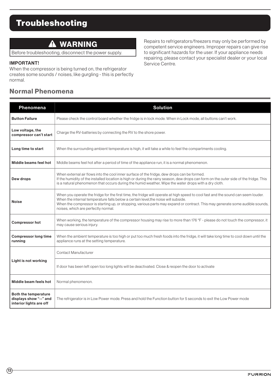# <span id="page-13-0"></span>Troubleshooting

# **A WARNING**

Before troubleshooting, disconnect the power supply.

#### IMPORTANT!

When the compressor is being turned on, the refrigerator creates some sounds / noises, like gurgling - this is perfectly normal.

#### Normal Phenomena

Repairs to refrigerators/freezers may only be performed by competent service engineers. Improper repairs can give rise to significant hazards for the user. If your appliance needs repairing, please contact your specialist dealer or your local Service Centre.

| Phenomena                                                                        | <b>Solution</b>                                                                                                                                                                                                                                                                                                                                                                                 |  |
|----------------------------------------------------------------------------------|-------------------------------------------------------------------------------------------------------------------------------------------------------------------------------------------------------------------------------------------------------------------------------------------------------------------------------------------------------------------------------------------------|--|
| <b>Button Failure</b>                                                            | Please check the control board whether the fridge is in lock mode. When in Lock mode, all buttons can't work.                                                                                                                                                                                                                                                                                   |  |
| Low voltage, the<br>compressor can't start                                       | Charge the RV-batteries by connecting the RV to the shore power.                                                                                                                                                                                                                                                                                                                                |  |
| Long time to start                                                               | When the surrounding ambient temperature is high, it will take a while to feel the compartments cooling.                                                                                                                                                                                                                                                                                        |  |
| Middle beams feel hot                                                            | Middle beams feel hot after a period of time of the appliance run, it is a normal phenomenon.                                                                                                                                                                                                                                                                                                   |  |
| Dew drops                                                                        | When external air flows into the cool inner surface of the fridge, dew drops can be formed.<br>If the humidity of the installed location is high or during the rainy season, dew drops can form on the outer side of the fridge. This<br>is a natural phenomenon that occurs during the humid weather, Wipe the water drops with a dry cloth.                                                   |  |
| <b>Noise</b>                                                                     | When you operate the fridge for the first time, the fridge will operate at high speed to cool fast and the sound can seem louder.<br>When the internal temperature falls below a certain level, the noise will subside.<br>When the compressor is starting up, or stopping, various parts may expand or contract. This may generate some audible sounds,<br>noises, which are perfectly normal. |  |
| <b>Compressor hot</b>                                                            | When working, the temperature of the compressor housing may rise to more than 176 °F - please do not touch the compressor, it<br>may cause serious injury.                                                                                                                                                                                                                                      |  |
| <b>Compressor long time</b><br>running                                           | When the ambient temperature is too high or put too much fresh foods into the fridge, it will take long time to cool down until the<br>appliance runs at the setting temperature.                                                                                                                                                                                                               |  |
|                                                                                  | Contact Manufacturer                                                                                                                                                                                                                                                                                                                                                                            |  |
| Light is not working                                                             | If door has been left open too long lights will be deactivated. Close & reopen the door to activate                                                                                                                                                                                                                                                                                             |  |
| Middle beam feels hot                                                            | Normal phenomenon.                                                                                                                                                                                                                                                                                                                                                                              |  |
| <b>Both the temperature</b><br>displays show "--" and<br>interior lights are off | The refrigerator is in Low Power mode. Press and hold the Function button for 5 seconds to exit the Low Power mode                                                                                                                                                                                                                                                                              |  |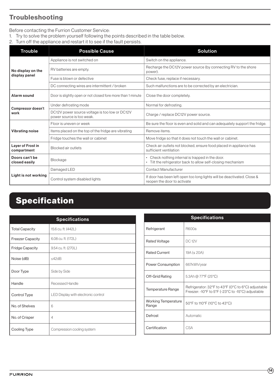## <span id="page-14-0"></span>Troubleshooting

Before contacting the Furrion Customer Service:

1. Try to solve the problem yourself following the points described in the table below.

2. Turn off the appliance and restart it to see if the fault persists.

| <b>Trouble</b>                          | <b>Possible Cause</b>                                                       | <b>Solution</b>                                                                                              |
|-----------------------------------------|-----------------------------------------------------------------------------|--------------------------------------------------------------------------------------------------------------|
|                                         | Appliance is not switched on                                                | Switch on the appliance.                                                                                     |
| No display on the                       | RV batteries are empty.                                                     | Recharge the DC12V power source (by connecting RV to the shore<br>power).                                    |
| display panel                           | Fuse is blown or defective                                                  | Check fuse, replace if necessary.                                                                            |
|                                         | DC connecting wires are intermittent / broken                               | Such malfunctions are to be corrected by an electrician.                                                     |
| Alarm sound                             | Door is slightly open or not closed fore more than 1 minute                 | Close the door completely.                                                                                   |
|                                         | Under defrosting mode                                                       | Normal for defrosting.                                                                                       |
| Compressor doesn't<br>work              | DC12V power source voltage is too low or DC12V<br>power source is too weak. | Charge / replace DC12V power source.                                                                         |
|                                         | Floor is uneven or week                                                     | Be sure the floor is even and solid and can adequately support the fridge.                                   |
| Vibrating noise                         | Items placed on the top of the fridge are vibrating                         | Remove items.                                                                                                |
|                                         | Fridge touches the wall or cabinet                                          | Move fridge so that it does not touch the wall or cabinet.                                                   |
| <b>Layer of Frost in</b><br>compartment | Blocked air outlets                                                         | Check air outlets not blocked, ensure food placed in appliance has<br>sufficient ventilation                 |
| Doors can't be<br>closed easily         | Blockage                                                                    | Check nothing internal is trapped in the door.<br>Tilt the refrigerator back to allow self-closing mechanism |
|                                         | Damaged LED                                                                 | Contact Manufacturer                                                                                         |
| Light is not working                    | Control system disabled lights                                              | If door has been left open too long lights will be deactivated. Close &<br>reopen the door to activate       |

# Specification

|                         | <b>Specifications</b>               |
|-------------------------|-------------------------------------|
| <b>Total Capacity</b>   | 15.6 cu. ft. (442L)                 |
| <b>Freezer Capacity</b> | 6.08 cu. ft. (172L)                 |
| <b>Fridge Capacity</b>  | 9.54 cu. ft. (270L)                 |
| Noise (dB)              | $<$ 42dB                            |
| Door Type               | Side by Side                        |
| Handle                  | <b>Recessed Handle</b>              |
| Control Type            | LED Display with electronic control |
| No. of Shelves          | 6                                   |
| No. of Crisper          | $\overline{4}$                      |
| Cooling Type            | Compression cooling system          |

| <b>Specifications</b>               |                                                                                                         |  |
|-------------------------------------|---------------------------------------------------------------------------------------------------------|--|
| Refrigerant                         | R600a                                                                                                   |  |
| Rated Voltage                       | <b>DC12V</b>                                                                                            |  |
| <b>Rated Current</b>                | 19A ( $\leq$ 20A)                                                                                       |  |
| Power Consumption                   | 667kWh/year                                                                                             |  |
| Off-Grid Rating                     | 5.3Ah @ 77°F (25°C)                                                                                     |  |
| Temperature Range                   | Refrigerator: 32°F to 43°F (0°C to 6°C) adjustable<br>Freezer: -10°F to 5°F (-23°C to -15°C) adjustable |  |
| <b>Working Temperature</b><br>Range | 50°F to 110°F (10°C to 43°C)                                                                            |  |
| Defrost                             | Automatic                                                                                               |  |
| Certification                       | <b>CSA</b>                                                                                              |  |